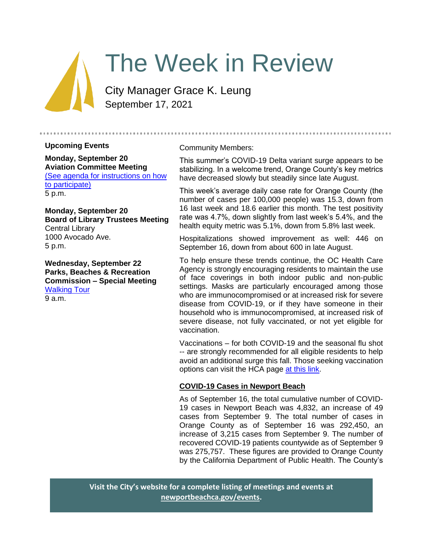

# The Week in Review

City Manager Grace K. Leung September 17, 2021

# **Upcoming Events**

**Monday, September 20 Aviation Committee Meeting** [\(See agenda for instructions on how](https://www.newportbeachca.gov/Home/Components/Calendar/Event/67415/72)  [to participate\)](https://www.newportbeachca.gov/Home/Components/Calendar/Event/67415/72) 5 p.m.

**Monday, September 20 Board of Library Trustees Meeting** Central Library 1000 Avocado Ave. 5 p.m.

**Wednesday, September 22 Parks, Beaches & Recreation Commission – Special Meeting** [Walking Tour](https://www.newportbeachca.gov/Home/Components/Calendar/Event/67507/72) 9 a.m.

Community Members:

This summer's COVID-19 Delta variant surge appears to be stabilizing. In a welcome trend, Orange County's key metrics have decreased slowly but steadily since late August.

This week's average daily case rate for Orange County (the number of cases per 100,000 people) was 15.3, down from 16 last week and 18.6 earlier this month. The test positivity rate was 4.7%, down slightly from last week's 5.4%, and the health equity metric was 5.1%, down from 5.8% last week.

Hospitalizations showed improvement as well: 446 on September 16, down from about 600 in late August.

To help ensure these trends continue, the OC Health Care Agency is strongly encouraging residents to maintain the use of face coverings in both indoor public and non-public settings. Masks are particularly encouraged among those who are immunocompromised or at increased risk for severe disease from COVID-19, or if they have someone in their household who is immunocompromised, at increased risk of severe disease, not fully vaccinated, or not yet eligible for vaccination.

Vaccinations – for both COVID-19 and the seasonal flu shot -- are strongly recommended for all eligible residents to help avoid an additional surge this fall. Those seeking vaccination options can visit the HCA page [at this link.](https://occovid19.ochealthinfo.com/covid-19-vaccine-distribution-channels)

# **COVID-19 Cases in Newport Beach**

As of September 16, the total cumulative number of COVID-19 cases in Newport Beach was 4,832, an increase of 49 cases from September 9. The total number of cases in Orange County as of September 16 was 292,450, an increase of 3,215 cases from September 9. The number of recovered COVID-19 patients countywide as of September 9 was 275,757. These figures are provided to Orange County by the California Department of Public Health. The County's

**Visit the City's website for a complete listing of meetings and events at [newportbeachca.gov/events.](https://www.newportbeachca.gov/government/data-hub/city-calendar)**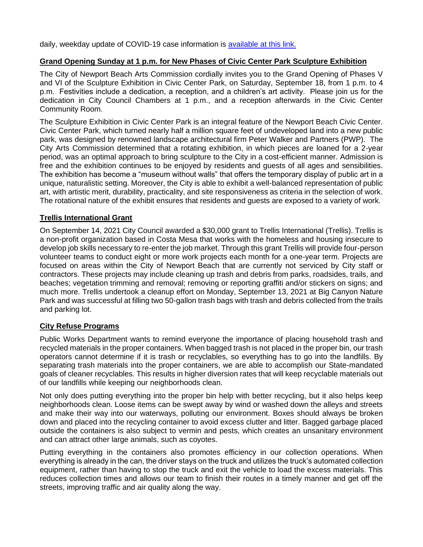daily, weekday update of COVID-19 case information is [available at this link.](https://ochca.maps.arcgis.com/apps/dashboards/cc4859c8c522496b9f21c451de2fedae)

### **Grand Opening Sunday at 1 p.m. for New Phases of Civic Center Park Sculpture Exhibition**

The City of Newport Beach Arts Commission cordially invites you to the Grand Opening of Phases V and VI of the Sculpture Exhibition in Civic Center Park, on Saturday, September 18, from 1 p.m. to 4 p.m. Festivities include a dedication, a reception, and a children's art activity. Please join us for the dedication in City Council Chambers at 1 p.m., and a reception afterwards in the Civic Center Community Room.

The Sculpture Exhibition in Civic Center Park is an integral feature of the Newport Beach Civic Center. Civic Center Park, which turned nearly half a million square feet of undeveloped land into a new public park, was designed by renowned landscape architectural firm Peter Walker and Partners (PWP). The City Arts Commission determined that a rotating exhibition, in which pieces are loaned for a 2-year period, was an optimal approach to bring sculpture to the City in a cost-efficient manner. Admission is free and the exhibition continues to be enjoyed by residents and guests of all ages and sensibilities. The exhibition has become a "museum without walls" that offers the temporary display of public art in a unique, naturalistic setting. Moreover, the City is able to exhibit a well-balanced representation of public art, with artistic merit, durability, practicality, and site responsiveness as criteria in the selection of work. The rotational nature of the exhibit ensures that residents and guests are exposed to a variety of work.

#### **Trellis International Grant**

On September 14, 2021 City Council awarded a \$30,000 grant to Trellis International (Trellis). Trellis is a non-profit organization based in Costa Mesa that works with the homeless and housing insecure to develop job skills necessary to re-enter the job market. Through this grant Trellis will provide four-person volunteer teams to conduct eight or more work projects each month for a one-year term. Projects are focused on areas within the City of Newport Beach that are currently not serviced by City staff or contractors. These projects may include cleaning up trash and debris from parks, roadsides, trails, and beaches; vegetation trimming and removal; removing or reporting graffiti and/or stickers on signs; and much more. Trellis undertook a cleanup effort on Monday, September 13, 2021 at Big Canyon Nature Park and was successful at filling two 50-gallon trash bags with trash and debris collected from the trails and parking lot.

#### **City Refuse Programs**

Public Works Department wants to remind everyone the importance of placing household trash and recycled materials in the proper containers. When bagged trash is not placed in the proper bin, our trash operators cannot determine if it is trash or recyclables, so everything has to go into the landfills. By separating trash materials into the proper containers, we are able to accomplish our State-mandated goals of cleaner recyclables. This results in higher diversion rates that will keep recyclable materials out of our landfills while keeping our neighborhoods clean.

Not only does putting everything into the proper bin help with better recycling, but it also helps keep neighborhoods clean. Loose items can be swept away by wind or washed down the alleys and streets and make their way into our waterways, polluting our environment. Boxes should always be broken down and placed into the recycling container to avoid excess clutter and litter. Bagged garbage placed outside the containers is also subject to vermin and pests, which creates an unsanitary environment and can attract other large animals, such as coyotes.

Putting everything in the containers also promotes efficiency in our collection operations. When everything is already in the can, the driver stays on the truck and utilizes the truck's automated collection equipment, rather than having to stop the truck and exit the vehicle to load the excess materials. This reduces collection times and allows our team to finish their routes in a timely manner and get off the streets, improving traffic and air quality along the way.